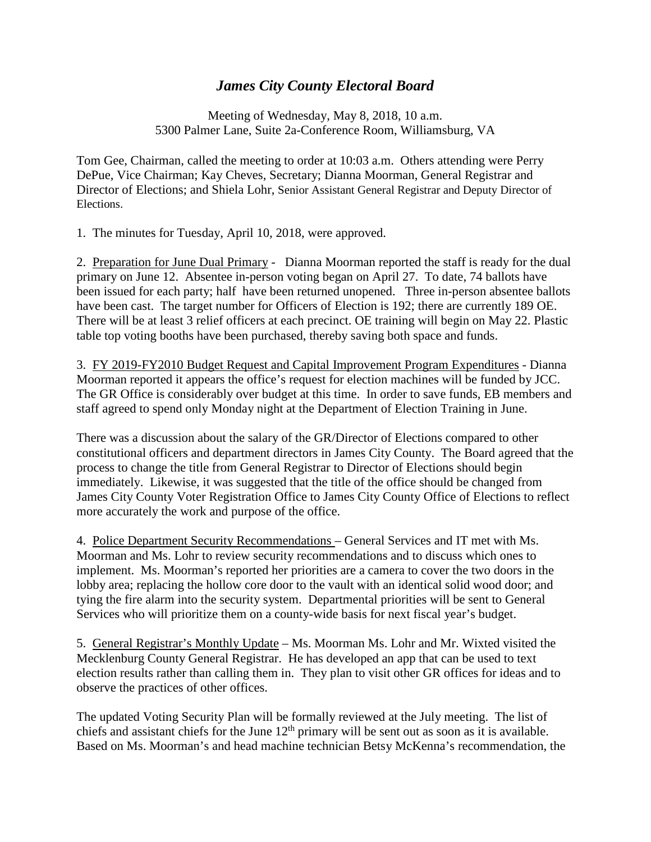## *James City County Electoral Board*

Meeting of Wednesday, May 8, 2018, 10 a.m. 5300 Palmer Lane, Suite 2a-Conference Room, Williamsburg, VA

Tom Gee, Chairman, called the meeting to order at 10:03 a.m. Others attending were Perry DePue, Vice Chairman; Kay Cheves, Secretary; Dianna Moorman, General Registrar and Director of Elections; and Shiela Lohr, Senior Assistant General Registrar and Deputy Director of Elections.

1. The minutes for Tuesday, April 10, 2018, were approved.

2. Preparation for June Dual Primary - Dianna Moorman reported the staff is ready for the dual primary on June 12. Absentee in-person voting began on April 27. To date, 74 ballots have been issued for each party; half have been returned unopened. Three in-person absentee ballots have been cast. The target number for Officers of Election is 192; there are currently 189 OE. There will be at least 3 relief officers at each precinct. OE training will begin on May 22. Plastic table top voting booths have been purchased, thereby saving both space and funds.

3. FY 2019-FY2010 Budget Request and Capital Improvement Program Expenditures - Dianna Moorman reported it appears the office's request for election machines will be funded by JCC. The GR Office is considerably over budget at this time. In order to save funds, EB members and staff agreed to spend only Monday night at the Department of Election Training in June.

There was a discussion about the salary of the GR/Director of Elections compared to other constitutional officers and department directors in James City County. The Board agreed that the process to change the title from General Registrar to Director of Elections should begin immediately. Likewise, it was suggested that the title of the office should be changed from James City County Voter Registration Office to James City County Office of Elections to reflect more accurately the work and purpose of the office.

4. Police Department Security Recommendations – General Services and IT met with Ms. Moorman and Ms. Lohr to review security recommendations and to discuss which ones to implement. Ms. Moorman's reported her priorities are a camera to cover the two doors in the lobby area; replacing the hollow core door to the vault with an identical solid wood door; and tying the fire alarm into the security system. Departmental priorities will be sent to General Services who will prioritize them on a county-wide basis for next fiscal year's budget.

5. General Registrar's Monthly Update – Ms. Moorman Ms. Lohr and Mr. Wixted visited the Mecklenburg County General Registrar. He has developed an app that can be used to text election results rather than calling them in. They plan to visit other GR offices for ideas and to observe the practices of other offices.

The updated Voting Security Plan will be formally reviewed at the July meeting. The list of chiefs and assistant chiefs for the June  $12<sup>th</sup>$  primary will be sent out as soon as it is available. Based on Ms. Moorman's and head machine technician Betsy McKenna's recommendation, the